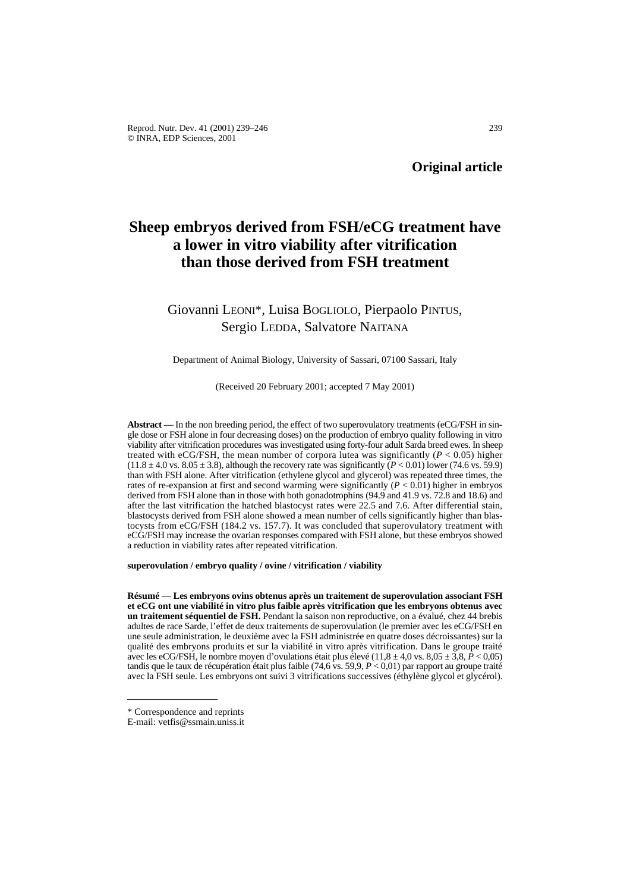# **Sheep embryos derived from FSH/eCG treatment have a lower in vitro viability after vitrification than those derived from FSH treatment**

# Giovanni LEONI\*, Luisa BOGLIOLO, Pierpaolo PINTUS, Sergio LEDDA, Salvatore NAITANA

## Department of Animal Biology, University of Sassari, 07100 Sassari, Italy

## (Received 20 February 2001; accepted 7 May 2001)

**Abstract** — In the non breeding period, the effect of two superovulatory treatments (eCG/FSH in single dose or FSH alone in four decreasing doses) on the production of embryo quality following in vitro viability after vitrification procedures was investigated using forty-four adult Sarda breed ewes. In sheep treated with eCG/FSH, the mean number of corpora lutea was significantly  $(P < 0.05)$  higher  $(11.8 \pm 4.0 \text{ vs. } 8.05 \pm 3.8)$ , although the recovery rate was significantly  $(P < 0.01)$  lower (74.6 vs. 59.9) than with FSH alone. After vitrification (ethylene glycol and glycerol) was repeated three times, the rates of re-expansion at first and second warming were significantly  $(P < 0.01)$  higher in embryos derived from FSH alone than in those with both gonadotrophins (94.9 and 41.9 vs. 72.8 and 18.6) and after the last vitrification the hatched blastocyst rates were 22.5 and 7.6. After differential stain, blastocysts derived from FSH alone showed a mean number of cells significantly higher than blastocysts from eCG/FSH (184.2 vs. 157.7). It was concluded that superovulatory treatment with eCG/FSH may increase the ovarian responses compared with FSH alone, but these embryos showed a reduction in viability rates after repeated vitrification.

**superovulation / embryo quality / ovine / vitrification / viability**

**Résumé** — **Les embryons ovins obtenus après un traitement de superovulation associant FSH et eCG ont une viabilité in vitro plus faible après vitrification que les embryons obtenus avec un traitement séquentiel de FSH.** Pendant la saison non reproductive, on a évalué, chez 44 brebis adultes de race Sarde, l'effet de deux traitements de superovulation (le premier avec les eCG/FSH en une seule administration, le deuxième avec la FSH administrée en quatre doses décroissantes) sur la qualité des embryons produits et sur la viabilité in vitro après vitrification. Dans le groupe traité avec les eCG/FSH, le nombre moyen d'ovulations était plus élevé (11,8  $\pm$  4,0 vs. 8,05  $\pm$  3,8,  $\vec{P}$  < 0,05) tandis que le taux de récupération était plus faible (74,6 vs. 59,9, *P* < 0,01) par rapport au groupe traité avec la FSH seule. Les embryons ont suivi 3 vitrifications successives (éthylène glycol et glycérol).

<sup>\*</sup> Correspondence and reprints

E-mail: vetfis@ssmain.uniss.it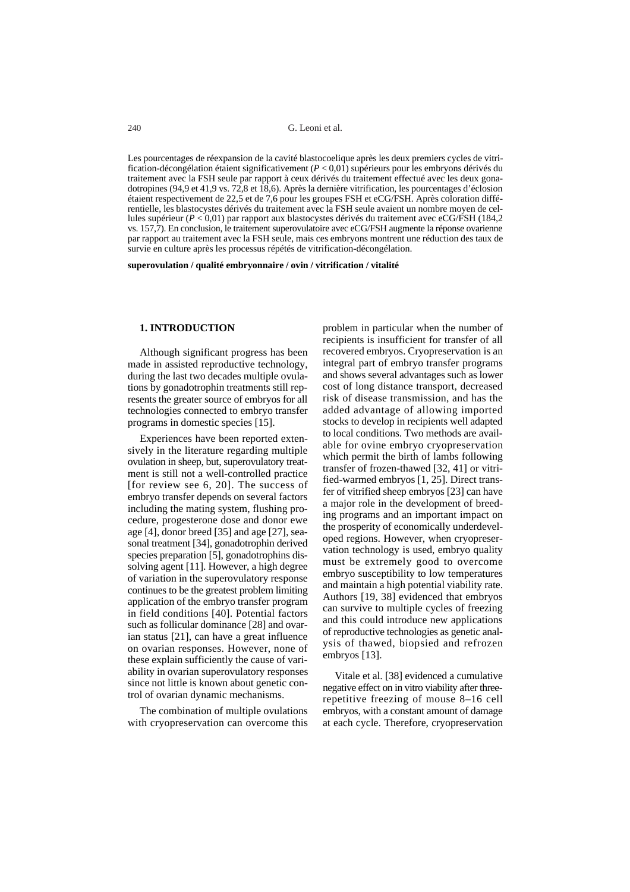Les pourcentages de réexpansion de la cavité blastocoelique après les deux premiers cycles de vitrification-décongélation étaient significativement (*P* < 0,01) supérieurs pour les embryons dérivés du traitement avec la FSH seule par rapport à ceux dérivés du traitement effectué avec les deux gonadotropines (94,9 et 41,9 vs. 72,8 et 18,6). Après la dernière vitrification, les pourcentages d'éclosion étaient respectivement de 22,5 et de 7,6 pour les groupes FSH et eCG/FSH. Après coloration différentielle, les blastocystes dérivés du traitement avec la FSH seule avaient un nombre moyen de cellules supérieur (*P* < 0,01) par rapport aux blastocystes dérivés du traitement avec eCG/FSH (184,2 vs. 157,7). En conclusion, le traitement superovulatoire avec eCG/FSH augmente la réponse ovarienne par rapport au traitement avec la FSH seule, mais ces embryons montrent une réduction des taux de survie en culture après les processus répétés de vitrification-décongélation.

**superovulation / qualité embryonnaire / ovin / vitrification / vitalité**

#### **1. INTRODUCTION**

Although significant progress has been made in assisted reproductive technology, during the last two decades multiple ovulations by gonadotrophin treatments still represents the greater source of embryos for all technologies connected to embryo transfer programs in domestic species [15].

Experiences have been reported extensively in the literature regarding multiple ovulation in sheep, but, superovulatory treatment is still not a well-controlled practice [for review see 6, 20]. The success of embryo transfer depends on several factors including the mating system, flushing procedure, progesterone dose and donor ewe age [4], donor breed [35] and age [27], seasonal treatment [34], gonadotrophin derived species preparation [5], gonadotrophins dissolving agent [11]. However, a high degree of variation in the superovulatory response continues to be the greatest problem limiting application of the embryo transfer program in field conditions [40]. Potential factors such as follicular dominance [28] and ovarian status [21], can have a great influence on ovarian responses. However, none of these explain sufficiently the cause of variability in ovarian superovulatory responses since not little is known about genetic control of ovarian dynamic mechanisms.

The combination of multiple ovulations with cryopreservation can overcome this

problem in particular when the number of recipients is insufficient for transfer of all recovered embryos. Cryopreservation is an integral part of embryo transfer programs and shows several advantages such as lower cost of long distance transport, decreased risk of disease transmission, and has the added advantage of allowing imported stocks to develop in recipients well adapted to local conditions. Two methods are available for ovine embryo cryopreservation which permit the birth of lambs following transfer of frozen-thawed [32, 41] or vitrified-warmed embryos [1, 25]. Direct transfer of vitrified sheep embryos [23] can have a major role in the development of breeding programs and an important impact on the prosperity of economically underdeveloped regions. However, when cryopreservation technology is used, embryo quality must be extremely good to overcome embryo susceptibility to low temperatures and maintain a high potential viability rate. Authors [19, 38] evidenced that embryos can survive to multiple cycles of freezing and this could introduce new applications of reproductive technologies as genetic analysis of thawed, biopsied and refrozen embryos [13].

Vitale et al. [38] evidenced a cumulative negative effect on in vitro viability after threerepetitive freezing of mouse 8–16 cell embryos, with a constant amount of damage at each cycle. Therefore, cryopreservation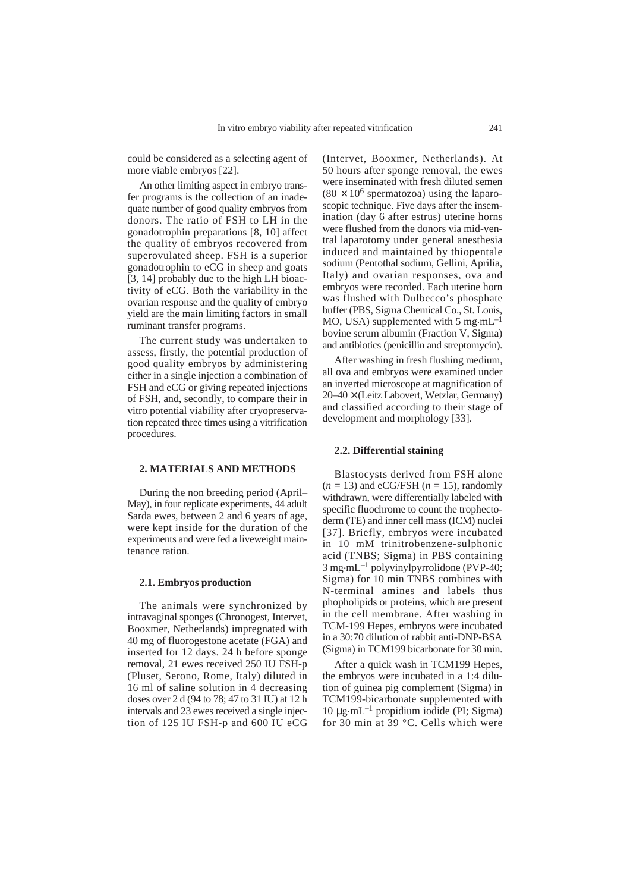could be considered as a selecting agent of more viable embryos [22].

An other limiting aspect in embryo transfer programs is the collection of an inadequate number of good quality embryos from donors. The ratio of FSH to LH in the gonadotrophin preparations [8, 10] affect the quality of embryos recovered from superovulated sheep. FSH is a superior gonadotrophin to eCG in sheep and goats [3, 14] probably due to the high LH bioactivity of eCG. Both the variability in the ovarian response and the quality of embryo yield are the main limiting factors in small ruminant transfer programs.

The current study was undertaken to assess, firstly, the potential production of good quality embryos by administering either in a single injection a combination of FSH and eCG or giving repeated injections of FSH, and, secondly, to compare their in vitro potential viability after cryopreservation repeated three times using a vitrification procedures.

# **2. MATERIALS AND METHODS**

During the non breeding period (April– May), in four replicate experiments, 44 adult Sarda ewes, between 2 and 6 years of age, were kept inside for the duration of the experiments and were fed a liveweight maintenance ration.

#### **2.1. Embryos production**

The animals were synchronized by intravaginal sponges (Chronogest, Intervet, Booxmer, Netherlands) impregnated with 40 mg of fluorogestone acetate (FGA) and inserted for 12 days. 24 h before sponge removal, 21 ewes received 250 IU FSH-p (Pluset, Serono, Rome, Italy) diluted in 16 ml of saline solution in 4 decreasing doses over 2 d (94 to 78; 47 to 31 IU) at 12 h intervals and 23 ewes received a single injection of 125 IU FSH-p and 600 IU eCG (Intervet, Booxmer, Netherlands). At 50 hours after sponge removal, the ewes were inseminated with fresh diluted semen  $(80 \times 10^6$  spermatozoa) using the laparoscopic technique. Five days after the insemination (day 6 after estrus) uterine horns were flushed from the donors via mid-ventral laparotomy under general anesthesia induced and maintained by thiopentale sodium (Pentothal sodium, Gellini, Aprilia, Italy) and ovarian responses, ova and embryos were recorded. Each uterine horn was flushed with Dulbecco's phosphate buffer (PBS, Sigma Chemical Co., St. Louis, MO, USA) supplemented with 5 mg $\cdot$ mL<sup> $-1$ </sup> bovine serum albumin (Fraction V, Sigma) and antibiotics (penicillin and streptomycin).

After washing in fresh flushing medium, all ova and embryos were examined under an inverted microscope at magnification of 20–40 × (Leitz Labovert, Wetzlar, Germany) and classified according to their stage of development and morphology [33].

# **2.2. Differential staining**

Blastocysts derived from FSH alone (*n =* 13) and eCG/FSH (*n =* 15), randomly withdrawn, were differentially labeled with specific fluochrome to count the trophectoderm (TE) and inner cell mass (ICM) nuclei [37]. Briefly, embryos were incubated in 10 mM trinitrobenzene-sulphonic acid (TNBS; Sigma) in PBS containing  $3 \text{ mg} \cdot \text{m} \text{L}^{-1}$  polyvinylpyrrolidone (PVP-40; Sigma) for 10 min TNBS combines with N-terminal amines and labels thus phopholipids or proteins, which are present in the cell membrane. After washing in TCM-199 Hepes, embryos were incubated in a 30:70 dilution of rabbit anti-DNP-BSA (Sigma) in TCM199 bicarbonate for 30 min.

After a quick wash in TCM199 Hepes, the embryos were incubated in a 1:4 dilution of guinea pig complement (Sigma) in TCM199-bicarbonate supplemented with 10 µg.mL–1 propidium iodide (PI; Sigma) for 30 min at 39 °C. Cells which were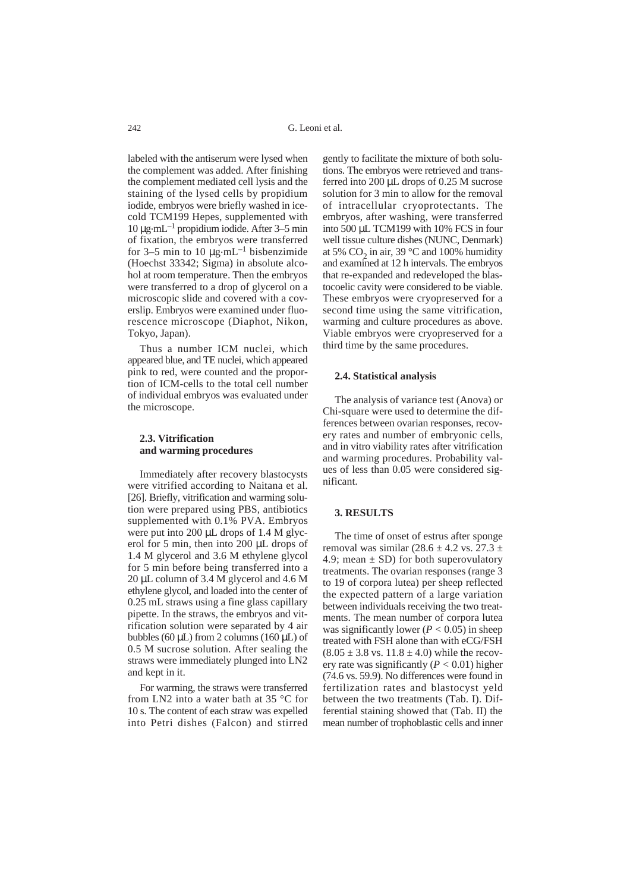labeled with the antiserum were lysed when the complement was added. After finishing the complement mediated cell lysis and the staining of the lysed cells by propidium iodide, embryos were briefly washed in icecold TCM199 Hepes, supplemented with  $10 \mu$ g·mL<sup>-1</sup> propidium iodide. After 3–5 min of fixation, the embryos were transferred for 3–5 min to 10  $\mu$ g.mL<sup>-1</sup> bisbenzimide (Hoechst 33342; Sigma) in absolute alcohol at room temperature. Then the embryos were transferred to a drop of glycerol on a microscopic slide and covered with a coverslip. Embryos were examined under fluorescence microscope (Diaphot, Nikon, Tokyo, Japan).

Thus a number ICM nuclei, which appeared blue, and TE nuclei, which appeared pink to red, were counted and the proportion of ICM-cells to the total cell number of individual embryos was evaluated under the microscope.

## **2.3. Vitrification and warming procedures**

Immediately after recovery blastocysts were vitrified according to Naitana et al. [26]. Briefly, vitrification and warming solution were prepared using PBS, antibiotics supplemented with 0.1% PVA. Embryos were put into  $200 \mu L$  drops of 1.4 M glycerol for 5 min, then into 200 µL drops of 1.4 M glycerol and 3.6 M ethylene glycol for 5 min before being transferred into a 20 µL column of 3.4 M glycerol and 4.6 M ethylene glycol, and loaded into the center of 0.25 mL straws using a fine glass capillary pipette. In the straws, the embryos and vitrification solution were separated by 4 air bubbles (60  $\mu$ L) from 2 columns (160  $\mu$ L) of 0.5 M sucrose solution. After sealing the straws were immediately plunged into LN2 and kept in it.

For warming, the straws were transferred from LN2 into a water bath at 35 °C for 10 s. The content of each straw was expelled into Petri dishes (Falcon) and stirred

gently to facilitate the mixture of both solutions. The embryos were retrieved and transferred into 200 µL drops of 0.25 M sucrose solution for 3 min to allow for the removal of intracellular cryoprotectants. The embryos, after washing, were transferred into 500 µL TCM199 with 10% FCS in four well tissue culture dishes (NUNC, Denmark) at 5%  $CO<sub>2</sub>$  in air, 39 °C and 100% humidity and examined at 12 h intervals. The embryos that re-expanded and redeveloped the blastocoelic cavity were considered to be viable. These embryos were cryopreserved for a second time using the same vitrification, warming and culture procedures as above. Viable embryos were cryopreserved for a third time by the same procedures.

#### **2.4. Statistical analysis**

The analysis of variance test (Anova) or Chi-square were used to determine the differences between ovarian responses, recovery rates and number of embryonic cells, and in vitro viability rates after vitrification and warming procedures. Probability values of less than 0.05 were considered significant.

#### **3. RESULTS**

The time of onset of estrus after sponge removal was similar  $(28.6 \pm 4.2 \text{ vs. } 27.3 \pm 1)$ 4.9; mean  $\pm$  SD) for both superovulatory treatments. The ovarian responses (range 3 to 19 of corpora lutea) per sheep reflected the expected pattern of a large variation between individuals receiving the two treatments. The mean number of corpora lutea was significantly lower  $(P < 0.05)$  in sheep treated with FSH alone than with eCG/FSH  $(8.05 \pm 3.8 \text{ vs. } 11.8 \pm 4.0)$  while the recovery rate was significantly  $(P < 0.01)$  higher (74.6 vs. 59.9). No differences were found in fertilization rates and blastocyst yeld between the two treatments (Tab. I). Differential staining showed that (Tab. II) the mean number of trophoblastic cells and inner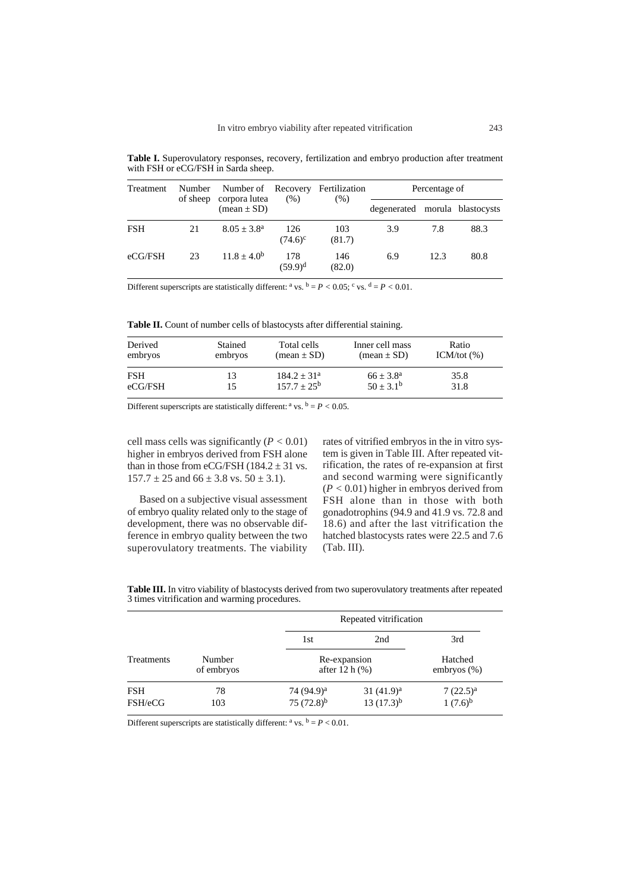| Treatment  | Number<br>of sheep | Number of Recovery<br>corpora lutea<br>$(\text{mean} \pm \text{SD})$ | (% )              | Fertilization<br>(% ) | Percentage of                  |      |      |
|------------|--------------------|----------------------------------------------------------------------|-------------------|-----------------------|--------------------------------|------|------|
|            |                    |                                                                      |                   |                       | degenerated morula blastocysts |      |      |
| <b>FSH</b> | 21                 | $8.05 + 3.8^{\rm a}$                                                 | 126<br>$(74.6)^c$ | 103<br>(81.7)         | 3.9                            | 7.8  | 88.3 |
| eCG/FSH    | 23                 | $11.8 + 4.0^{b}$                                                     | 178<br>$(59.9)^d$ | 146<br>(82.0)         | 6.9                            | 12.3 | 80.8 |

**Table I.** Superovulatory responses, recovery, fertilization and embryo production after treatment with FSH or eCG/FSH in Sarda sheep.

Different superscripts are statistically different: <sup>a</sup> vs. <sup>b</sup> = *P* < 0.05; <sup>c</sup> vs. <sup>d</sup> = *P* < 0.01.

Table II. Count of number cells of blastocysts after differential staining.

| Derived    | <b>Stained</b> | Total cells    | Inner cell mass               | Ratio          |
|------------|----------------|----------------|-------------------------------|----------------|
| embryos    | embryos        | $mean \pm SD$  | $(\text{mean} \pm \text{SD})$ | ICM/tot $(\%)$ |
| <b>FSH</b> |                | $184.2 + 31a$  | $66 + 3.8^a$                  | 35.8           |
| eCG/FSH    |                | $157.7 + 25^b$ | $50 + 3.1^b$                  | 31.8           |

Different superscripts are statistically different:  $a$  vs.  $b = P < 0.05$ .

cell mass cells was significantly  $(P < 0.01)$ higher in embryos derived from FSH alone than in those from eCG/FSH ( $184.2 \pm 31$  vs.  $157.7 \pm 25$  and  $66 \pm 3.8$  vs.  $50 \pm 3.1$ ).

Based on a subjective visual assessment of embryo quality related only to the stage of development, there was no observable difference in embryo quality between the two superovulatory treatments. The viability rates of vitrified embryos in the in vitro system is given in Table III. After repeated vitrification, the rates of re-expansion at first and second warming were significantly (*P <* 0.01) higher in embryos derived from FSH alone than in those with both gonadotrophins (94.9 and 41.9 vs. 72.8 and 18.6) and after the last vitrification the hatched blastocysts rates were 22.5 and 7.6 (Tab. III).

**Table III.** In vitro viability of blastocysts derived from two superovulatory treatments after repeated 3 times vitrification and warming procedures.

|            |            | Repeated vitrification |                |                |  |
|------------|------------|------------------------|----------------|----------------|--|
|            |            | 1st                    | 2nd            | 3rd            |  |
| Treatments | Number     | Re-expansion           |                | Hatched        |  |
|            | of embryos | after $12 h$ (%)       |                | embryos $(\%)$ |  |
| <b>FSH</b> | 78         | 74 (94.9) <sup>a</sup> | $31(41.9)^a$   | $7(22.5)^{a}$  |  |
| FSH/eCG    | 103        | 75 $(72.8)^{b}$        | $13(17.3)^{b}$ | $1(7.6)^{b}$   |  |

Different superscripts are statistically different:  $a$  vs.  $b = P < 0.01$ .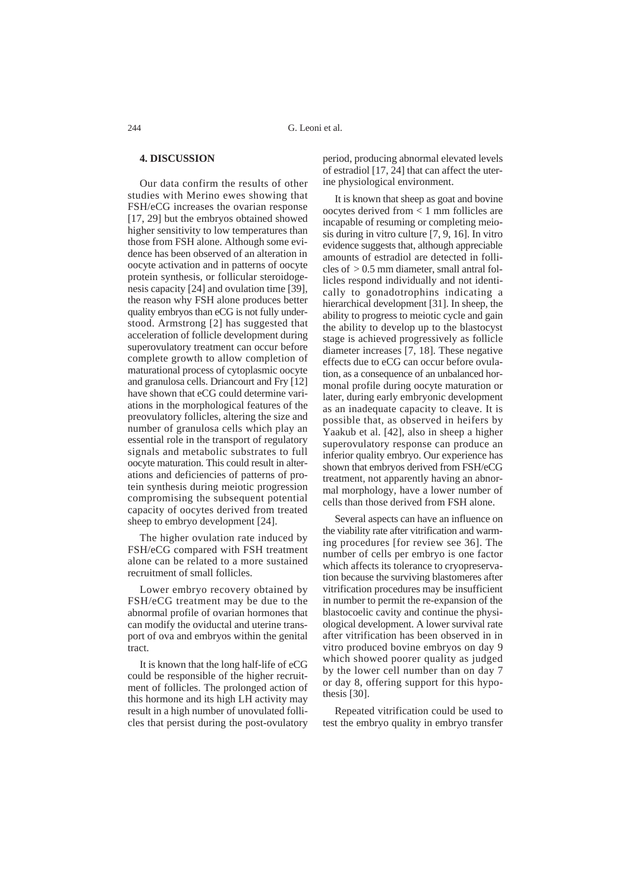## **4. DISCUSSION**

Our data confirm the results of other studies with Merino ewes showing that FSH/eCG increases the ovarian response [17, 29] but the embryos obtained showed higher sensitivity to low temperatures than those from FSH alone. Although some evidence has been observed of an alteration in oocyte activation and in patterns of oocyte protein synthesis, or follicular steroidogenesis capacity [24] and ovulation time [39], the reason why FSH alone produces better quality embryos than eCG is not fully understood. Armstrong [2] has suggested that acceleration of follicle development during superovulatory treatment can occur before complete growth to allow completion of maturational process of cytoplasmic oocyte and granulosa cells. Driancourt and Fry [12] have shown that eCG could determine variations in the morphological features of the preovulatory follicles, altering the size and number of granulosa cells which play an essential role in the transport of regulatory signals and metabolic substrates to full oocyte maturation. This could result in alterations and deficiencies of patterns of protein synthesis during meiotic progression compromising the subsequent potential capacity of oocytes derived from treated sheep to embryo development [24].

The higher ovulation rate induced by FSH/eCG compared with FSH treatment alone can be related to a more sustained recruitment of small follicles.

Lower embryo recovery obtained by FSH/eCG treatment may be due to the abnormal profile of ovarian hormones that can modify the oviductal and uterine transport of ova and embryos within the genital tract.

It is known that the long half-life of eCG could be responsible of the higher recruitment of follicles. The prolonged action of this hormone and its high LH activity may result in a high number of unovulated follicles that persist during the post-ovulatory

period, producing abnormal elevated levels of estradiol [17, 24] that can affect the uterine physiological environment.

It is known that sheep as goat and bovine oocytes derived from < 1 mm follicles are incapable of resuming or completing meiosis during in vitro culture [7, 9, 16]. In vitro evidence suggests that, although appreciable amounts of estradiol are detected in follicles of  $> 0.5$  mm diameter, small antral follicles respond individually and not identically to gonadotrophins indicating a hierarchical development [31]. In sheep, the ability to progress to meiotic cycle and gain the ability to develop up to the blastocyst stage is achieved progressively as follicle diameter increases [7, 18]. These negative effects due to eCG can occur before ovulation, as a consequence of an unbalanced hormonal profile during oocyte maturation or later, during early embryonic development as an inadequate capacity to cleave. It is possible that, as observed in heifers by Yaakub et al. [42], also in sheep a higher superovulatory response can produce an inferior quality embryo. Our experience has shown that embryos derived from FSH/eCG treatment, not apparently having an abnormal morphology, have a lower number of cells than those derived from FSH alone.

Several aspects can have an influence on the viability rate after vitrification and warming procedures [for review see 36]. The number of cells per embryo is one factor which affects its tolerance to cryopreservation because the surviving blastomeres after vitrification procedures may be insufficient in number to permit the re-expansion of the blastocoelic cavity and continue the physiological development. A lower survival rate after vitrification has been observed in in vitro produced bovine embryos on day 9 which showed poorer quality as judged by the lower cell number than on day 7 or day 8, offering support for this hypothesis [30].

Repeated vitrification could be used to test the embryo quality in embryo transfer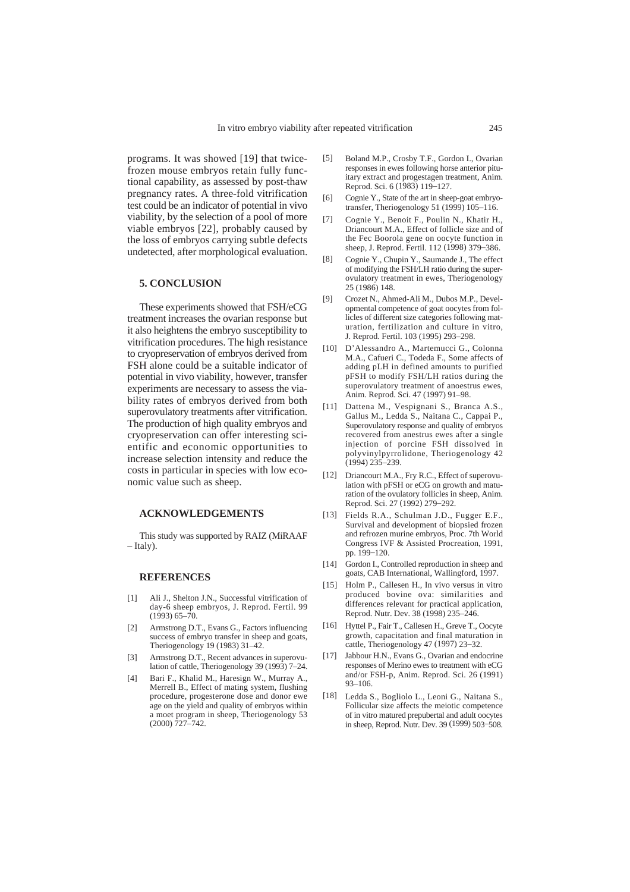programs. It was showed [19] that twicefrozen mouse embryos retain fully functional capability, as assessed by post-thaw pregnancy rates. A three-fold vitrification test could be an indicator of potential in vivo viability, by the selection of a pool of more viable embryos [22], probably caused by the loss of embryos carrying subtle defects undetected, after morphological evaluation.

# **5. CONCLUSION**

These experiments showed that FSH/eCG treatment increases the ovarian response but it also heightens the embryo susceptibility to vitrification procedures. The high resistance to cryopreservation of embryos derived from FSH alone could be a suitable indicator of potential in vivo viability, however, transfer experiments are necessary to assess the viability rates of embryos derived from both superovulatory treatments after vitrification. The production of high quality embryos and cryopreservation can offer interesting scientific and economic opportunities to increase selection intensity and reduce the costs in particular in species with low economic value such as sheep.

#### **ACKNOWLEDGEMENTS**

This study was supported by RAIZ (MiRAAF – Italy).

# **REFERENCES**

- [1] Ali J., Shelton J.N., Successful vitrification of day-6 sheep embryos, J. Reprod. Fertil. 99  $(1993)$  65–70.
- [2] Armstrong D.T., Evans G., Factors influencing success of embryo transfer in sheep and goats. Theriogenology 19 (1983) 31–42.
- [3] Armstrong D.T., Recent advances in superovulation of cattle, Theriogenology 39 (1993) 7–24.
- [4] Bari F., Khalid M., Haresign W., Murray A., Merrell B., Effect of mating system, flushing procedure, progesterone dose and donor ewe age on the yield and quality of embryos within a moet program in sheep, Theriogenology 53 (2000) 727–742.
- [5] Boland M.P., Crosby T.F., Gordon I., Ovarian responses in ewes following horse anterior pituitary extract and progestagen treatment, Anim. Reprod. Sci. 6 (1983) 119–127.
- [6] Cognie Y., State of the art in sheep-goat embryotransfer, Theriogenology 51 (1999) 105–116.
- [7] Cognie Y., Benoit F., Poulin N., Khatir H., Driancourt M.A., Effect of follicle size and of the Fec Boorola gene on oocyte function in sheep, J. Reprod. Fertil. 112 (1998) 379–386.
- [8] Cognie Y., Chupin Y., Saumande J., The effect of modifying the FSH/LH ratio during the superovulatory treatment in ewes, Theriogenology 25 (1986) 148.
- [9] Crozet N., Ahmed-Ali M., Dubos M.P., Developmental competence of goat oocytes from follicles of different size categories following maturation, fertilization and culture in vitro, J. Reprod. Fertil. 103 (1995) 293–298.
- [10] D'Alessandro A., Martemucci G., Colonna M.A., Cafueri C., Todeda F., Some affects of adding pLH in defined amounts to purified pFSH to modify FSH/LH ratios during the superovulatory treatment of anoestrus ewes, Anim. Reprod. Sci. 47 (1997) 91–98.
- [11] Dattena M., Vespignani S., Branca A.S., Gallus M., Ledda S., Naitana C., Cappai P., Superovulatory response and quality of embryos recovered from anestrus ewes after a single injection of porcine FSH dissolved in polyvinylpyrrolidone, Theriogenology 42 (1994) 235–239.
- [12] Driancourt M.A., Fry R.C., Effect of superovulation with pFSH or eCG on growth and maturation of the ovulatory follicles in sheep, Anim. Reprod. Sci. 27 (1992) 279–292.
- [13] Fields R.A., Schulman J.D., Fugger E.F., Survival and development of biopsied frozen and refrozen murine embryos, Proc. 7th World Congress IVF & Assisted Procreation, 1991, pp. 199–120.
- [14] Gordon I., Controlled reproduction in sheep and goats, CAB International, Wallingford, 1997.
- [15] Holm P., Callesen H., In vivo versus in vitro produced bovine ova: similarities and differences relevant for practical application, Reprod. Nutr. Dev. 38 (1998) 235–246.
- [16] Hyttel P., Fair T., Callesen H., Greve T., Oocyte growth, capacitation and final maturation in cattle, Theriogenology 47 (1997) 23–32.
- [17] Jabbour H.N., Evans G., Ovarian and endocrine responses of Merino ewes to treatment with eCG and/or FSH-p, Anim. Reprod. Sci. 26 (1991) 93–106.
- [18] Ledda S., Bogliolo L., Leoni G., Naitana S., Follicular size affects the meiotic competence of in vitro matured prepubertal and adult oocytes in sheep, Reprod. Nutr. Dev. 39 (1999) 503–508.